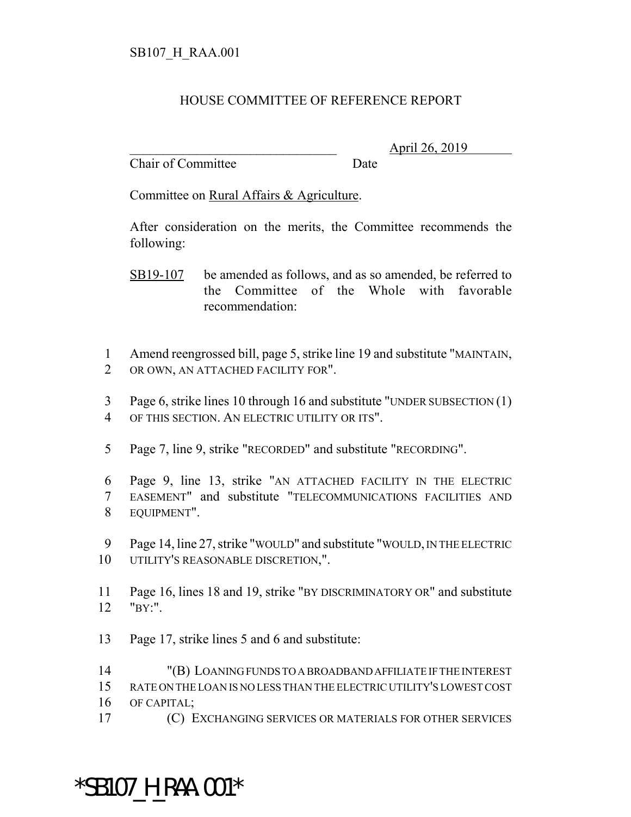## HOUSE COMMITTEE OF REFERENCE REPORT

Chair of Committee Date

\_\_\_\_\_\_\_\_\_\_\_\_\_\_\_\_\_\_\_\_\_\_\_\_\_\_\_\_\_\_\_ April 26, 2019

Committee on Rural Affairs & Agriculture.

After consideration on the merits, the Committee recommends the following:

- SB19-107 be amended as follows, and as so amended, be referred to the Committee of the Whole with favorable recommendation:
- Amend reengrossed bill, page 5, strike line 19 and substitute "MAINTAIN, OR OWN, AN ATTACHED FACILITY FOR".
- Page 6, strike lines 10 through 16 and substitute "UNDER SUBSECTION (1) OF THIS SECTION. AN ELECTRIC UTILITY OR ITS".
- Page 7, line 9, strike "RECORDED" and substitute "RECORDING".
- Page 9, line 13, strike "AN ATTACHED FACILITY IN THE ELECTRIC EASEMENT" and substitute "TELECOMMUNICATIONS FACILITIES AND EQUIPMENT".
- Page 14, line 27, strike "WOULD" and substitute "WOULD, IN THE ELECTRIC UTILITY'S REASONABLE DISCRETION,".
- Page 16, lines 18 and 19, strike "BY DISCRIMINATORY OR" and substitute "BY:".
- Page 17, strike lines 5 and 6 and substitute:

 "(B) LOANING FUNDS TO A BROADBAND AFFILIATE IF THE INTEREST RATE ON THE LOAN IS NO LESS THAN THE ELECTRIC UTILITY'S LOWEST COST OF CAPITAL;

(C) EXCHANGING SERVICES OR MATERIALS FOR OTHER SERVICES

## \*SB107\_H\_RAA.001\*